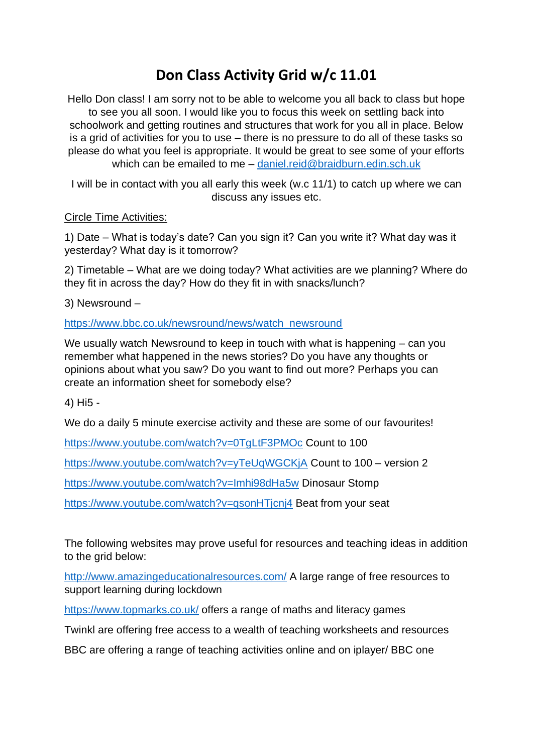## **Don Class Activity Grid w/c 11.01**

Hello Don class! I am sorry not to be able to welcome you all back to class but hope to see you all soon. I would like you to focus this week on settling back into schoolwork and getting routines and structures that work for you all in place. Below is a grid of activities for you to use – there is no pressure to do all of these tasks so please do what you feel is appropriate. It would be great to see some of your efforts which can be emailed to me – [daniel.reid@braidburn.edin.sch.uk](mailto:daniel.reid@braidburn.edin.sch.uk)

I will be in contact with you all early this week (w.c 11/1) to catch up where we can discuss any issues etc.

## Circle Time Activities:

1) Date – What is today's date? Can you sign it? Can you write it? What day was it yesterday? What day is it tomorrow?

2) Timetable – What are we doing today? What activities are we planning? Where do they fit in across the day? How do they fit in with snacks/lunch?

3) Newsround –

[https://www.bbc.co.uk/newsround/news/watch\\_newsround](https://www.bbc.co.uk/newsround/news/watch_newsround)

We usually watch Newsround to keep in touch with what is happening – can you remember what happened in the news stories? Do you have any thoughts or opinions about what you saw? Do you want to find out more? Perhaps you can create an information sheet for somebody else?

4) Hi5 -

We do a daily 5 minute exercise activity and these are some of our favourites!

<https://www.youtube.com/watch?v=0TgLtF3PMOc> Count to 100

<https://www.youtube.com/watch?v=yTeUqWGCKjA> Count to 100 – version 2

<https://www.youtube.com/watch?v=Imhi98dHa5w> Dinosaur Stomp

<https://www.youtube.com/watch?v=qsonHTjcnj4> Beat from your seat

The following websites may prove useful for resources and teaching ideas in addition to the grid below:

<http://www.amazingeducationalresources.com/> A large range of free resources to support learning during lockdown

<https://www.topmarks.co.uk/> offers a range of maths and literacy games

Twinkl are offering free access to a wealth of teaching worksheets and resources

BBC are offering a range of teaching activities online and on iplayer/ BBC one